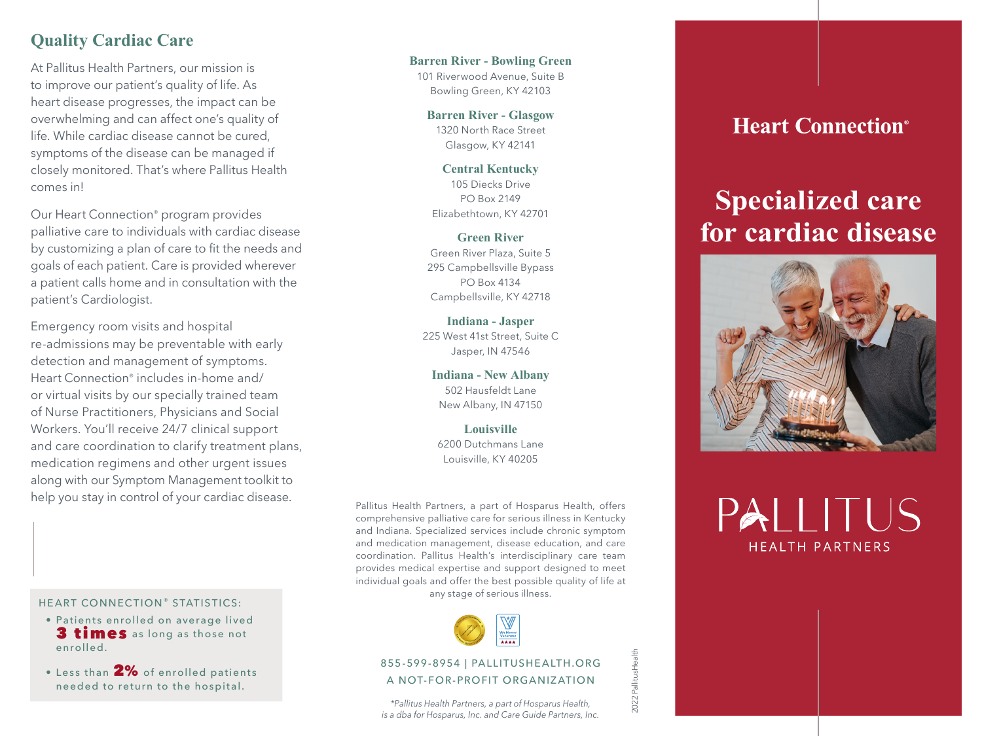### **Quality Cardiac Care**

At Pallitus Health Partners, our mission is to improve our patient's quality of life. As heart disease progresses, the impact can be overwhelming and can affect one's quality of life. While cardiac disease cannot be cured, symptoms of the disease can be managed if closely monitored. That's where Pallitus Health comes in!

Our Heart Connection® program provides palliative care to individuals with cardiac disease by customizing a plan of care to fit the needs and goals of each patient. Care is provided wherever a patient calls home and in consultation with the patient's Cardiologist.

Emergency room visits and hospital re-admissions may be preventable with early detection and management of symptoms. Heart Connection® includes in-home and/ or virtual visits by our specially trained team of Nurse Practitioners, Physicians and Social Workers. You'll receive 24/7 clinical support and care coordination to clarify treatment plans, medication regimens and other urgent issues along with our Symptom Management toolkit to help you stay in control of your cardiac disease.

HEART CONNECTION® STATISTICS:

- · Patients enrolled on average lived 3 times as long as those not enrolled.
- $\bullet$  Less than  $2\%$  of enrolled patients needed to return to the hospital.

**Barren River - Bowling Green** 101 Riverwood Avenue, Suite B Bowling Green, KY 42103

> **Barren River - Glasgow** 1320 North Race Street Glasgow, KY 42141

**Central Kentucky**  105 Diecks Drive PO Box 2149 Elizabethtown, KY 42701

**Green River**  Green River Plaza, Suite 5 295 Campbellsville Bypass PO Box 4134 Campbellsville, KY 42718

**Indiana - Jasper**  225 West 41st Street, Suite C Jasper, IN 47546

**Indiana - New Albany** 502 Hausfeldt Lane New Albany, IN 47150

**Louisville**  6200 Dutchmans Lane Louisville, KY 40205

Pallitus Health Partners, a part of Hosparus Health, offers comprehensive palliative care for serious illness in Kentucky and Indiana. Specialized services include chronic symptom and medication management, disease education, and care coordination. Pallitus Health's interdisciplinary care team provides medical expertise and support designed to meet individual goals and offer the best possible quality of life at any stage of serious illness.



#### 855-599-8954 | PALLITUSHEALTH.ORG A NOT-FOR-PROFIT ORGANIZATION

2022 PallitusHealth

2022 PallitusHealth

*\*Pallitus Health Partners, a part of Hosparus Health, is a dba for Hosparus, Inc. and Care Guide Partners, Inc.*

## **Heart Connection**<sup>®</sup>

# **Specialized care for cardiac disease**



PAIITUS **HFAITH PARTNERS**